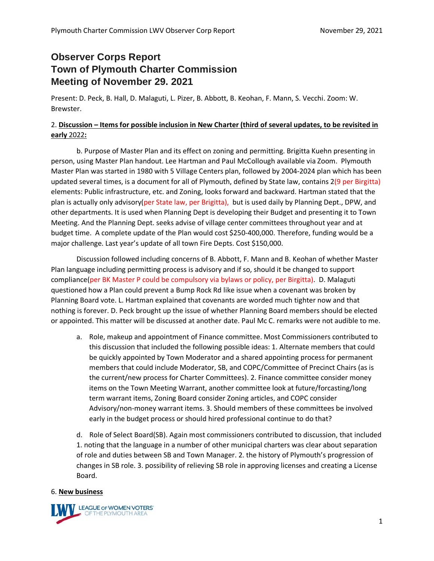## **Observer Corps Report Town of Plymouth Charter Commission Meeting of November 29. 2021**

Present: D. Peck, B. Hall, D. Malaguti, L. Pizer, B. Abbott, B. Keohan, F. Mann, S. Vecchi. Zoom: W. Brewster.

## 2. **Discussion – Items for possible inclusion in New Charter (third of several updates, to be revisited in early** 2022**:**

b. Purpose of Master Plan and its effect on zoning and permitting. Brigitta Kuehn presenting in person, using Master Plan handout. Lee Hartman and Paul McCollough available via Zoom. Plymouth Master Plan was started in 1980 with 5 Village Centers plan, followed by 2004-2024 plan which has been updated several times, is a document for all of Plymouth, defined by State law, contains 2(9 per Birgitta) elements: Public infrastructure, etc. and Zoning, looks forward and backward. Hartman stated that the plan is actually only advisory(per State law, per Brigitta), but is used daily by Planning Dept., DPW, and other departments. It is used when Planning Dept is developing their Budget and presenting it to Town Meeting. And the Planning Dept. seeks advise of village center committees throughout year and at budget time. A complete update of the Plan would cost \$250-400,000. Therefore, funding would be a major challenge. Last year's update of all town Fire Depts. Cost \$150,000.

Discussion followed including concerns of B. Abbott, F. Mann and B. Keohan of whether Master Plan language including permitting process is advisory and if so, should it be changed to support compliance(per BK Master P could be compulsory via bylaws or policy, per Birgitta). D. Malaguti questioned how a Plan could prevent a Bump Rock Rd like issue when a covenant was broken by Planning Board vote. L. Hartman explained that covenants are worded much tighter now and that nothing is forever. D. Peck brought up the issue of whether Planning Board members should be elected or appointed. This matter will be discussed at another date. Paul Mc C. remarks were not audible to me.

a. Role, makeup and appointment of Finance committee. Most Commissioners contributed to this discussion that included the following possible ideas: 1. Alternate members that could be quickly appointed by Town Moderator and a shared appointing process for permanent members that could include Moderator, SB, and COPC/Committee of Precinct Chairs (as is the current/new process for Charter Committees). 2. Finance committee consider money items on the Town Meeting Warrant, another committee look at future/forcasting/long term warrant items, Zoning Board consider Zoning articles, and COPC consider Advisory/non-money warrant items. 3. Should members of these committees be involved early in the budget process or should hired professional continue to do that?

d. Role of Select Board(SB). Again most commissioners contributed to discussion, that included 1. noting that the language in a number of other municipal charters was clear about separation of role and duties between SB and Town Manager. 2. the history of Plymouth's progression of changes in SB role. 3. possibility of relieving SB role in approving licenses and creating a License Board.

## 6. **New business**